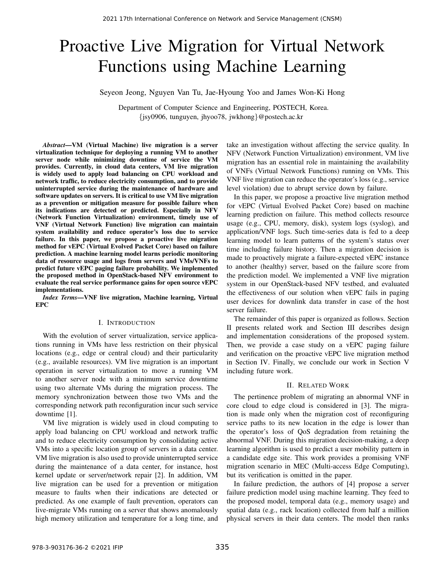# Proactive Live Migration for Virtual Network Functions using Machine Learning

Seyeon Jeong, Nguyen Van Tu, Jae-Hyoung Yoo and James Won-Ki Hong

Department of Computer Science and Engineering, POSTECH, Korea. {jsy0906, tunguyen, jhyoo78, jwkhong}@postech.ac.kr

*Abstract*—VM (Virtual Machine) live migration is a server virtualization technique for deploying a running VM to another server node while minimizing downtime of service the VM provides. Currently, in cloud data centers, VM live migration is widely used to apply load balancing on CPU workload and network traffic, to reduce electricity consumption, and to provide uninterrupted service during the maintenance of hardware and software updates on servers. It is critical to use VM live migration as a prevention or mitigation measure for possible failure when its indications are detected or predicted. Especially in NFV (Network Function Virtualization) environment, timely use of VNF (Virtual Network Function) live migration can maintain system availability and reduce operator's loss due to service failure. In this paper, we propose a proactive live migration method for vEPC (Virtual Evolved Packet Core) based on failure prediction. A machine learning model learns periodic monitoring data of resource usage and logs from servers and VMs/VNFs to predict future vEPC paging failure probability. We implemented the proposed method in OpenStack-based NFV environment to evaluate the real service performance gains for open source vEPC implementations.

*Index Terms*—VNF live migration, Machine learning, Virtual EPC

# I. INTRODUCTION

With the evolution of server virtualization, service applications running in VMs have less restriction on their physical locations (e.g., edge or central cloud) and their particularity (e.g., available resources). VM live migration is an important operation in server virtualization to move a running VM to another server node with a minimum service downtime using two alternate VMs during the migration process. The memory synchronization between those two VMs and the corresponding network path reconfiguration incur such service downtime [1].

VM live migration is widely used in cloud computing to apply load balancing on CPU workload and network traffic and to reduce electricity consumption by consolidating active VMs into a specific location group of servers in a data center. VM live migration is also used to provide uninterrupted service during the maintenance of a data center, for instance, host kernel update or server/network repair [2]. In addition, VM live migration can be used for a prevention or mitigation measure to faults when their indications are detected or predicted. As one example of fault prevention, operators can live-migrate VMs running on a server that shows anomalously high memory utilization and temperature for a long time, and

take an investigation without affecting the service quality. In NFV (Network Function Virtualization) environment, VM live migration has an essential role in maintaining the availability of VNFs (Virtual Network Functions) running on VMs. This VNF live migration can reduce the operator's loss (e.g., service level violation) due to abrupt service down by failure.

In this paper, we propose a proactive live migration method for vEPC (Virtual Evolved Packet Core) based on machine learning prediction on failure. This method collects resource usage (e.g., CPU, memory, disk), system logs (syslog), and application/VNF logs. Such time-series data is fed to a deep learning model to learn patterns of the system's status over time including failure history. Then a migration decision is made to proactively migrate a failure-expected vEPC instance to another (healthy) server, based on the failure score from the prediction model. We implemented a VNF live migration system in our OpenStack-based NFV testbed, and evaluated the effectiveness of our solution when vEPC fails in paging user devices for downlink data transfer in case of the host server failure.

The remainder of this paper is organized as follows. Section II presents related work and Section III describes design and implementation considerations of the proposed system. Then, we provide a case study on a vEPC paging failure and verification on the proactive vEPC live migration method in Section IV. Finally, we conclude our work in Section V including future work.

## II. RELATED WORK

The pertinence problem of migrating an abnormal VNF in core cloud to edge cloud is considered in [3]. The migration is made only when the migration cost of reconfiguring service paths to its new location in the edge is lower than the operator's loss of QoS degradation from retaining the abnormal VNF. During this migration decision-making, a deep learning algorithm is used to predict a user mobility pattern in a candidate edge site. This work provides a promising VNF migration scenario in MEC (Multi-access Edge Computing), but its verification is omitted in the paper.

In failure prediction, the authors of [4] propose a server failure prediction model using machine learning. They feed to the proposed model, temporal data (e.g., memory usage) and spatial data (e.g., rack location) collected from half a million physical servers in their data centers. The model then ranks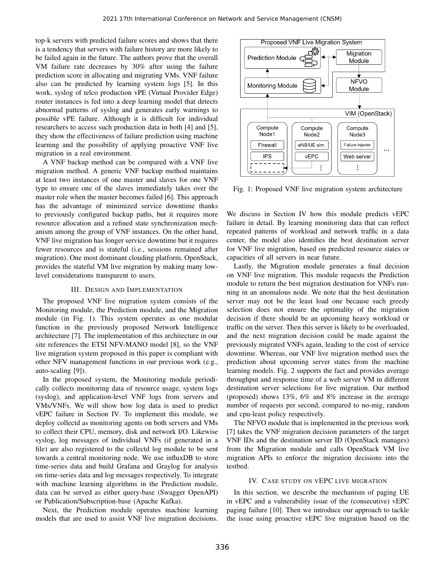top-k servers with predicted failure scores and shows that there is a tendency that servers with failure history are more likely to be failed again in the future. The authors prove that the overall VM failure rate decreases by 30% after using the failure prediction score in allocating and migrating VMs. VNF failure also can be predicted by learning system logs [5]. In this work, syslog of telco production vPE (Virtual Provider Edge) router instances is fed into a deep learning model that detects abnormal patterns of syslog and generates early warnings to possible vPE failure. Although it is difficult for individual researchers to access such production data in both [4] and [5], they show the effectiveness of failure prediction using machine learning and the possibility of applying proactive VNF live migration in a real environment.

A VNF backup method can be compared with a VNF live migration method. A generic VNF backup method maintains at least two instances of one master and slaves for one VNF type to ensure one of the slaves immediately takes over the master role when the master becomes failed [6]. This approach has the advantage of minimized service downtime thanks to previously configured backup paths, but it requires more resource allocation and a refined state synchronization mechanism among the group of VNF instances. On the other hand, VNF live migration has longer service downtime but it requires fewer resources and is stateful (i.e., sessions remained after migration). One most dominant clouding platform, OpenStack, provides the stateful VM live migration by making many lowlevel considerations transparent to users.

## III. DESIGN AND IMPLEMENTATION

The proposed VNF live migration system consists of the Monitoring module, the Prediction module, and the Migration module (in Fig. 1). This system operates as one modular function in the previously proposed Network Intelligence architecture [7]. The implementation of this architecture in our site references the ETSI NFV-MANO model [8], so the VNF live migration system proposed in this paper is compliant with other NFV management functions in our previous work (e.g., auto-scaling [9]).

In the proposed system, the Monitoring module periodically collects monitoring data of resource usage, system logs (syslog), and application-level VNF logs from servers and VMs/VNFs. We will show how log data is used to predict vEPC failure in Section IV. To implement this module, we deploy collectd as monitoring agents on both servers and VMs to collect their CPU, memory, disk and network I/O. Likewise syslog, log messages of individual VNFs (if generated in a file) are also registered to the collectd log module to be sent towards a central monitoring node. We use influxDB to store time-series data and build Grafana and Graylog for analysis on time-series data and log messages respectively. To integrate with machine learning algorithms in the Prediction module, data can be served as either query-base (Swagger OpenAPI) or Publication/Subscription-base (Apache Kafka).

Next, the Prediction module operates machine learning models that are used to assist VNF live migration decisions.



Fig. 1: Proposed VNF live migration system architecture

We discuss in Section IV how this module predicts vEPC failure in detail. By learning monitoring data that can reflect repeated patterns of workload and network traffic in a data center, the model also identifies the best destination server for VNF live migration, based on predicted resource states or capacities of all servers in near future.

Lastly, the Migration module generates a final decision on VNF live migration. This module requests the Prediction module to return the best migration destination for VNFs running in an anomalous node. We note that the best destination server may not be the least load one because such greedy selection does not ensure the optimality of the migration decision if there should be an upcoming heavy workload or traffic on the server. Then this server is likely to be overloaded, and the next migration decision could be made against the previously migrated VNFs again, leading to the cost of service downtime. Whereas, our VNF live migration method uses the prediction about upcoming server states from the machine learning models. Fig. 2 supports the fact and provides average throughput and response time of a web server VM in different destination server selections for live migration. Our method (proposed) shows 13%, 6% and 8% increase in the average number of requests per second, compared to no-mig, random and cpu-least policy respectively.

The NFVO module that is implemented in the previous work [7] takes the VNF migration decision parameters of the target VNF IDs and the destination server ID (OpenStack manages) from the Migration module and calls OpenStack VM live migration APIs to enforce the migration decisions into the testbed.

# IV. CASE STUDY ON VEPC LIVE MIGRATION

In this section, we describe the mechanism of paging UE in vEPC and a vulnerability issue of the (consecutive) vEPC paging failure [10]. Then we introduce our approach to tackle the issue using proactive vEPC live migration based on the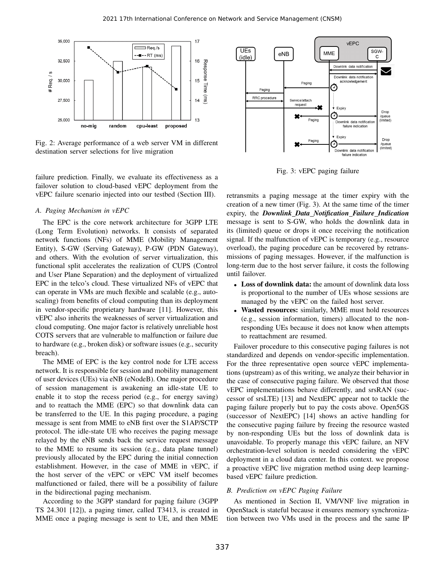

Fig. 2: Average performance of a web server VM in different destination server selections for live migration

failure prediction. Finally, we evaluate its effectiveness as a failover solution to cloud-based vEPC deployment from the vEPC failure scenario injected into our testbed (Section III).

#### *A. Paging Mechanism in vEPC*

The EPC is the core network architecture for 3GPP LTE (Long Term Evolution) networks. It consists of separated network functions (NFs) of MME (Mobility Management Entity), S-GW (Serving Gateway), P-GW (PDN Gateway), and others. With the evolution of server virtualization, this functional split accelerates the realization of CUPS (Control and User Plane Separation) and the deployment of virtualized EPC in the telco's cloud. These virtualized NFs of vEPC that can operate in VMs are much flexible and scalable (e.g., autoscaling) from benefits of cloud computing than its deployment in vendor-specific proprietary hardware [11]. However, this vEPC also inherits the weaknesses of server virtualization and cloud computing. One major factor is relatively unreliable host COTS servers that are vulnerable to malfunction or failure due to hardware (e.g., broken disk) or software issues (e.g., security breach).

The MME of EPC is the key control node for LTE access network. It is responsible for session and mobility management of user devices (UEs) via eNB (eNodeB). One major procedure of session management is awakening an idle-state UE to enable it to stop the recess period (e.g., for energy saving) and to reattach the MME (EPC) so that downlink data can be transferred to the UE. In this paging procedure, a paging message is sent from MME to eNB first over the S1AP/SCTP protocol. The idle-state UE who receives the paging message relayed by the eNB sends back the service request message to the MME to resume its session (e.g., data plane tunnel) previously allocated by the EPC during the initial connection establishment. However, in the case of MME in vEPC, if the host server of the vEPC or vEPC VM itself becomes malfunctioned or failed, there will be a possibility of failure in the bidirectional paging mechanism.

According to the 3GPP standard for paging failure (3GPP TS 24.301 [12]), a paging timer, called T3413, is created in MME once a paging message is sent to UE, and then MME



Fig. 3: vEPC paging failure

retransmits a paging message at the timer expiry with the creation of a new timer (Fig. 3). At the same time of the timer expiry, the *Downlink Data Notification Failure Indication* message is sent to S-GW, who holds the downlink data in its (limited) queue or drops it once receiving the notification signal. If the malfunction of vEPC is temporary (e.g., resource overload), the paging procedure can be recovered by retransmissions of paging messages. However, if the malfunction is long-term due to the host server failure, it costs the following until failover.

- Loss of downlink data: the amount of downlink data loss is proportional to the number of UEs whose sessions are managed by the vEPC on the failed host server.
- Wasted resources: similarly, MME must hold resources (e.g., session information, timers) allocated to the nonresponding UEs because it does not know when attempts to reattachment are resumed.

Failover procedure to this consecutive paging failures is not standardized and depends on vendor-specific implementation. For the three representative open source vEPC implementations (upstream) as of this writing, we analyze their behavior in the case of consecutive paging failure. We observed that those vEPC implementations behave differently, and srsRAN (successor of srsLTE) [13] and NextEPC appear not to tackle the paging failure properly but to pay the costs above. Open5GS (successor of NextEPC) [14] shows an active handling for the consecutive paging failure by freeing the resource wasted by non-responding UEs but the loss of downlink data is unavoidable. To properly manage this vEPC failure, an NFV orchestration-level solution is needed considering the vEPC deployment in a cloud data center. In this context. we propose a proactive vEPC live migration method using deep learningbased vEPC failure prediction.

## *B. Prediction on vEPC Paging Failure*

As mentioned in Section II, VM/VNF live migration in OpenStack is stateful because it ensures memory synchronization between two VMs used in the process and the same IP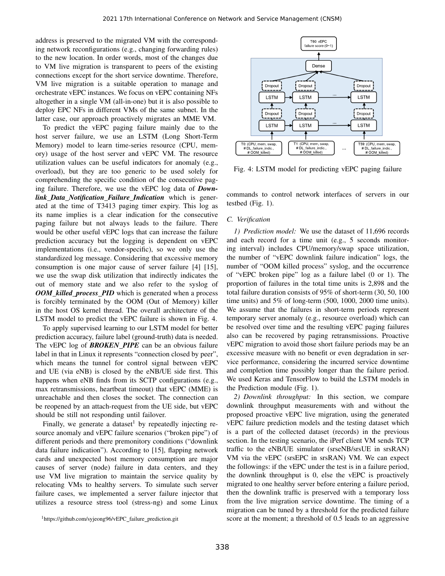address is preserved to the migrated VM with the corresponding network reconfigurations (e.g., changing forwarding rules) to the new location. In order words, most of the changes due to VM live migration is transparent to peers of the existing connections except for the short service downtime. Therefore, VM live migration is a suitable operation to manage and orchestrate vEPC instances. We focus on vEPC containing NFs altogether in a single VM (all-in-one) but it is also possible to deploy EPC NFs in different VMs of the same subnet. In the latter case, our approach proactively migrates an MME VM.

To predict the vEPC paging failure mainly due to the host server failure, we use an LSTM (Long Short-Term Memory) model to learn time-series resource (CPU, memory) usage of the host server and vEPC VM. The resource utilization values can be useful indicators for anomaly (e.g., overload), but they are too generic to be used solely for comprehending the specific condition of the consecutive paging failure. Therefore, we use the vEPC log data of *Downlink Data Notification Failure Indication* which is generated at the time of T3413 paging timer expiry. This log as its name implies is a clear indication for the consecutive paging failure but not always leads to the failure. There would be other useful vEPC logs that can increase the failure prediction accuracy but the logging is dependent on vEPC implementations (i.e., vendor-specific), so we only use the standardized log message. Considering that excessive memory consumption is one major cause of server failure [4] [15], we use the swap disk utilization that indirectly indicates the out of memory state and we also refer to the syslog of *OOM killed process PID* which is generated when a process is forcibly terminated by the OOM (Out of Memory) killer in the host OS kernel thread. The overall architecture of the LSTM model to predict the vEPC failure is shown in Fig. 4.

To apply supervised learning to our LSTM model for better prediction accuracy, failure label (ground-truth) data is needed. The vEPC log of *BROKEN PIPE* can be an obvious failure label in that in Linux it represents "connection closed by peer", which means the tunnel for control signal between vEPC and UE (via eNB) is closed by the eNB/UE side first. This happens when eNB finds from its SCTP configurations (e.g., max retransmissions, heartbeat timeout) that vEPC (MME) is unreachable and then closes the socket. The connection can be reopened by an attach-request from the UE side, but vEPC should be still not responding until failover.

Finally, we generate a dataset by repeatedly injecting resource anomaly and vEPC failure scenarios ("broken pipe") of different periods and there premonitory conditions ("downlink data failure indication"). According to [15], flapping network cards and unexpected host memory consumption are major causes of server (node) failure in data centers, and they use VM live migration to maintain the service quality by relocating VMs to healthy servers. To simulate such server failure cases, we implemented a server failure injector that utilizes a resource stress tool (stress-ng) and some Linux



Fig. 4: LSTM model for predicting vEPC paging failure

commands to control network interfaces of servers in our testbed (Fig. 1).

## *C. Verification*

*1) Prediction model:* We use the dataset of 11,696 records and each record for a time unit (e.g., 5 seconds monitoring interval) includes CPU/memory/swap space utilization, the number of "vEPC downlink failure indication" logs, the number of "OOM killed process" syslog, and the occurrence of "vEPC broken pipe" log as a failure label (0 or 1). The proportion of failures in the total time units is 2,898 and the total failure duration consists of 95% of short-term (30, 50, 100 time units) and 5% of long-term (500, 1000, 2000 time units). We assume that the failures in short-term periods represent temporary server anomaly (e.g., resource overload) which can be resolved over time and the resulting vEPC paging failures also can be recovered by paging retransmissions. Proactive vEPC migration to avoid those short failure periods may be an excessive measure with no benefit or even degradation in service performance, considering the incurred service downtime and completion time possibly longer than the failure period. We used Keras and TensorFlow to build the LSTM models in the Prediction module (Fig. 1).

*2) Downlink throughput:* In this section, we compare downlink throughput measurements with and without the proposed proactive vEPC live migration, using the generated vEPC failure prediction models and the testing dataset which is a part of the collected dataset (records) in the previous section. In the testing scenario, the iPerf client VM sends TCP traffic to the eNB/UE simulator (srseNB/srsUE in srsRAN) VM via the vEPC (srsEPC in srsRAN) VM. We can expect the followings: if the vEPC under the test is in a failure period, the downlink throughput is 0, else the vEPC is proactively migrated to one healthy server before entering a failure period, then the downlink traffic is preserved with a temporary loss from the live migration service downtime. The timing of a migration can be tuned by a threshold for the predicted failure score at the moment; a threshold of 0.5 leads to an aggressive

<sup>&</sup>lt;sup>1</sup>https://github.com/syjeong96/vEPC\_failure\_prediction.git